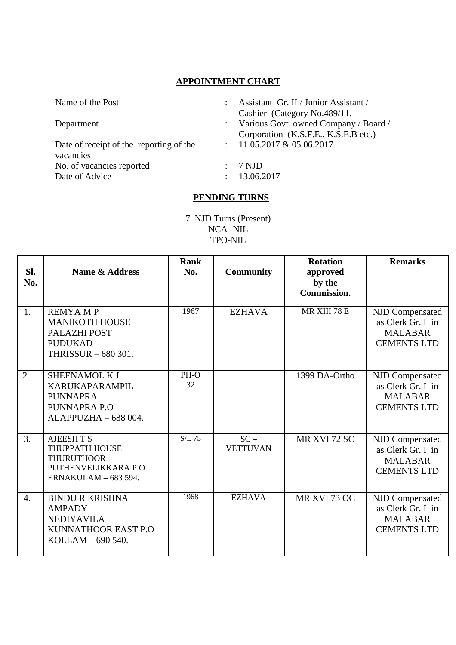## **APPOINTMENT CHART**

| Name of the Post                        |  | Assistant Gr. II / Junior Assistant / |  |  |  |  |
|-----------------------------------------|--|---------------------------------------|--|--|--|--|
|                                         |  | Cashier (Category No.489/11.          |  |  |  |  |
| Department                              |  | Various Govt. owned Company / Board / |  |  |  |  |
|                                         |  | Corporation (K.S.F.E., K.S.E.B etc.)  |  |  |  |  |
| Date of receipt of the reporting of the |  | $: 11.05.2017 \& 05.06.2017$          |  |  |  |  |
| vacancies                               |  |                                       |  |  |  |  |
| No. of vacancies reported               |  | 7 NJD                                 |  |  |  |  |
| Date of Advice                          |  | 13.06.2017                            |  |  |  |  |
|                                         |  |                                       |  |  |  |  |
| <b>PENDING TURNS</b>                    |  |                                       |  |  |  |  |

7 NJD Turns (Present) NCA- NIL TPO-NIL

| SI.<br>No. | <b>Name &amp; Address</b>                                                                                | <b>Rank</b><br>No. | <b>Community</b>          | <b>Rotation</b><br>approved<br>by the<br><b>Commission.</b> | <b>Remarks</b>                                                               |
|------------|----------------------------------------------------------------------------------------------------------|--------------------|---------------------------|-------------------------------------------------------------|------------------------------------------------------------------------------|
| 1.         | <b>REMYAMP</b><br><b>MANIKOTH HOUSE</b><br>PALAZHI POST<br><b>PUDUKAD</b><br>THRISSUR - 680 301.         | 1967               | <b>EZHAVA</b>             | MR XIII 78 E                                                | NJD Compensated<br>as Clerk Gr. I in<br><b>MALABAR</b><br><b>CEMENTS LTD</b> |
| 2.         | SHEENAMOL K J<br>KARUKAPARAMPIL<br><b>PUNNAPRA</b><br>PUNNAPRA P.O<br>ALAPPUZHA - 688 004.               | PH-O<br>32         |                           | 1399 DA-Ortho                                               | NJD Compensated<br>as Clerk Gr. I in<br><b>MALABAR</b><br><b>CEMENTS LTD</b> |
| 3.         | <b>AJEESH T S</b><br>THUPPATH HOUSE<br><b>THURUTHOOR</b><br>PUTHENVELIKKARA P.O<br>ERNAKULAM - 683 594.  | $S/L$ 75           | $SC -$<br><b>VETTUVAN</b> | MR XVI 72 SC                                                | NJD Compensated<br>as Clerk Gr. I in<br><b>MALABAR</b><br><b>CEMENTS LTD</b> |
| 4.         | <b>BINDU R KRISHNA</b><br><b>AMPADY</b><br><b>NEDIYAVILA</b><br>KUNNATHOOR EAST P.O<br>KOLLAM - 690 540. | 1968               | <b>EZHAVA</b>             | MR XVI 73 OC                                                | NJD Compensated<br>as Clerk Gr. I in<br><b>MALABAR</b><br><b>CEMENTS LTD</b> |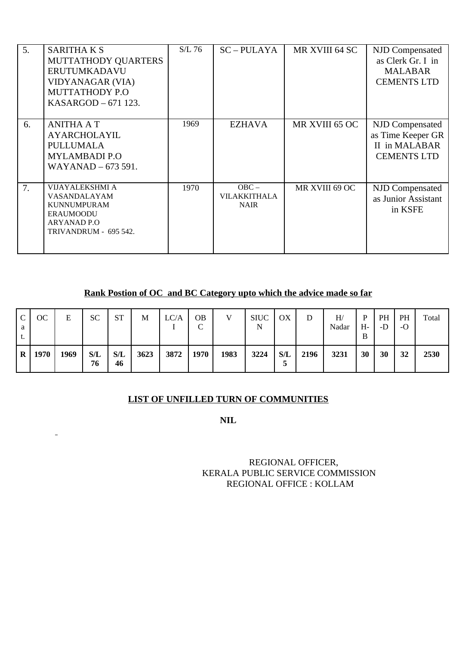| 5. | <b>SARITHAKS</b><br>MUTTATHODY QUARTERS<br><b>ERUTUMKADAVU</b><br>VIDYANAGAR (VIA)<br><b>MUTTATHODY P.O</b><br>KASARGOD - 671 123. | $S/L$ 76 | $SC - PULAYA$                          | MR XVIII 64 SC | NJD Compensated<br>as Clerk Gr. I in<br><b>MALABAR</b><br><b>CEMENTS LTD</b> |
|----|------------------------------------------------------------------------------------------------------------------------------------|----------|----------------------------------------|----------------|------------------------------------------------------------------------------|
| 6. | <b>ANITHA A T</b><br><b>AYARCHOLAYIL</b><br>PULLUMALA<br><b>MYLAMBADI P.O</b><br>WAYANAD - 673 591.                                | 1969     | <b>EZHAVA</b>                          | MR XVIII 65 OC | NJD Compensated<br>as Time Keeper GR<br>II in MALABAR<br><b>CEMENTS LTD</b>  |
| 7. | VIJAYALEKSHMI A<br>VASANDALAYAM<br><b>KUNNUMPURAM</b><br><b>ERAUMOODU</b><br><b>ARYANAD P.O</b><br>TRIVANDRUM - 695 542.           | 1970     | $OBC -$<br>VILAKKITHALA<br><b>NAIR</b> | MR XVIII 69 OC | NJD Compensated<br>as Junior Assistant<br>in KSFE                            |

**Rank Postion of OC and BC Category upto which the advice made so far**

| C<br>a<br>t. | ОC   | Е    | <b>SC</b> | <b>ST</b> | М    | LC/A | OB<br>◡ | V    | <b>SIUC</b><br>N | OX       | D    | H/<br>Nadar | P<br>H-<br>B | PH<br>-D | <b>PH</b><br>-O | Total |
|--------------|------|------|-----------|-----------|------|------|---------|------|------------------|----------|------|-------------|--------------|----------|-----------------|-------|
| $\bf{R}$     | 1970 | 1969 | S/L<br>76 | S/L<br>46 | 3623 | 3872 | 1970    | 1983 | 3224             | S/L<br>C | 2196 | 3231        | 30           | 30       | 32              | 2530  |

## **LIST OF UNFILLED TURN OF COMMUNITIES**

**NIL**

## REGIONAL OFFICER, KERALA PUBLIC SERVICE COMMISSION REGIONAL OFFICE : KOLLAM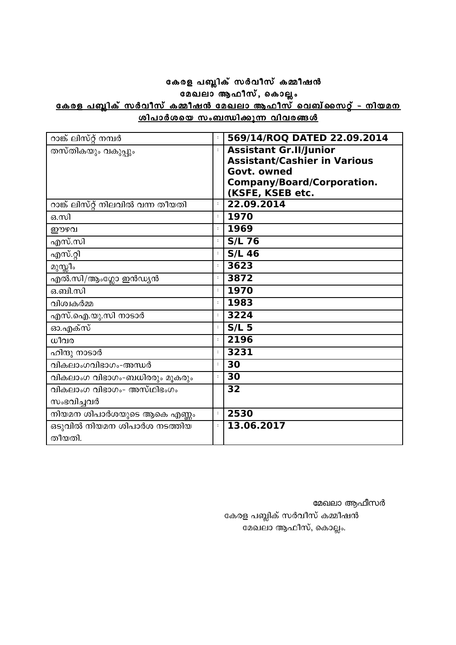## കേരള പബ്ലിക് സർവീസ് കമ്മീഷൻ .∝⊆ <sub>....</sub>. <sub>∾</sub><br>മേഖലാ ആഫീസ്, കൊല്ലം <u>കേരള പബ്ലിക് സർവീസ് കമ്മീഷൻ മേഖലാ ആഫീസ് വെബ്സൈറ്റ് - നിയമന</u><br>ശിപാർശയെ സംബന്ധിക്കുന്ന വിവരങ്ങൾ

| റാങ്ക് ലിസ്റ്റ് നമ്പർ             | $\ddot{\phantom{a}}$ | 569/14/ROQ DATED 22.09.2014         |
|-----------------------------------|----------------------|-------------------------------------|
| തസ്തികയും വകുപ്പും                | $\ddot{\cdot}$       | <b>Assistant Gr.II/Junior</b>       |
|                                   |                      | <b>Assistant/Cashier in Various</b> |
|                                   |                      | Govt. owned                         |
|                                   |                      | <b>Company/Board/Corporation.</b>   |
|                                   |                      | (KSFE, KSEB etc.                    |
| റാങ്ക് ലിസ്റ്റ് നിലവിൽ വന്ന തീയതി | $\ddot{\phantom{a}}$ | 22.09.2014                          |
| ഒ.സി                              | $\ddot{\phantom{a}}$ | 1970                                |
| ഈഴവ                               | $\ddot{\phantom{a}}$ | 1969                                |
| എസ്.സി                            | $\ddot{\phantom{a}}$ | <b>S/L 76</b>                       |
| എസ്.റ്റി                          | $\ddot{\phantom{a}}$ | $S/L$ 46                            |
| മുസ്സിം                           | $\ddot{\cdot}$       | 3623                                |
| എൽ.സി/ആംഗ്ലോ ഇൻഡ്യൻ               | $\ddot{\cdot}$       | 3872                                |
| ഒ.ബി.സി                           | $\colon$             | 1970                                |
| വിശ്വകർമ്മ                        | $\ddot{\phantom{a}}$ | 1983                                |
| എസ്.ഐ.യു.സി നാടാർ                 | $\ddot{\ddot{z}}$    | 3224                                |
| ഓ.എക്സ്                           | $\ddot{\phantom{a}}$ | $S/L$ 5                             |
| ധീവര                              | $\ddot{\phantom{a}}$ | 2196                                |
| ഹിന്ദു നാടാർ                      | $\ddot{\phantom{a}}$ | 3231                                |
| വികലാംഗവിഭാഗം-അന്ധർ               | $\ddot{\phantom{a}}$ | 30                                  |
| വികലാംഗ വിഭാഗം-ബധിരരും മൂകരും     | $\colon$             | 30                                  |
| വികലാംഗ വിഭാഗം- അസ്ഥിഭംഗം         |                      | 32                                  |
| സംഭവിച്ചവർ                        |                      |                                     |
| നിയമന ശിപാർശയുടെ ആകെ എണ്ണം        | $\ddot{\phantom{a}}$ | 2530                                |
| ഒടുവിൽ നിയമന ശിപാർശ നടത്തിയ       | $\ddot{\cdot}$       | 13.06.2017                          |
| തീയതി.                            |                      |                                     |

മേഖലാ ആഫീസർ

കേരള പബ്ലിക് സർവീസ് കമ്മീഷൻ മേഖലാ ആഫീസ്, കൊല്ലം.